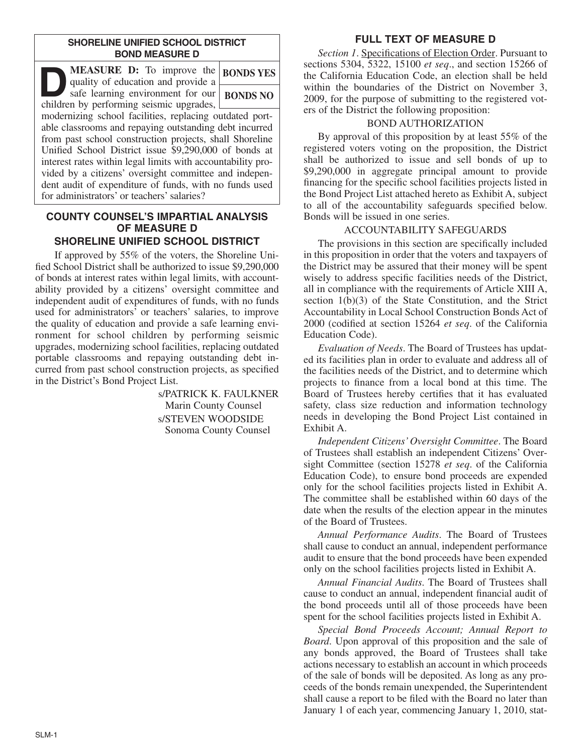#### **SHORELINE UNIFIED SCHOOL DISTRICT BOND MEASURE D**

| <b>MEASURE D:</b> To improve the<br>quality of education and provide a                                                                                                                                                                                                                                                                                                                                                                                                | <b>BONDS YES</b> |
|-----------------------------------------------------------------------------------------------------------------------------------------------------------------------------------------------------------------------------------------------------------------------------------------------------------------------------------------------------------------------------------------------------------------------------------------------------------------------|------------------|
| safe learning environment for our<br>children by performing seismic upgrades,                                                                                                                                                                                                                                                                                                                                                                                         | <b>BONDS NO</b>  |
| modernizing school facilities, replacing outdated port-<br>able classrooms and repaying outstanding debt incurred<br>from past school construction projects, shall Shoreline<br>Unified School District issue \$9,290,000 of bonds at<br>interest rates within legal limits with accountability pro-<br>vided by a citizens' oversight committee and indepen-<br>dent audit of expenditure of funds, with no funds used<br>for administrators' or teachers' salaries? |                  |

#### **COUNTY COUNSEL'S IMPARTIAL ANALYSIS OF MEASURE D SHORELINE UNIFIED SCHOOL DISTRICT**

If approved by 55% of the voters, the Shoreline Unified School District shall be authorized to issue \$9,290,000 of bonds at interest rates within legal limits, with accountability provided by a citizens' oversight committee and independent audit of expenditures of funds, with no funds used for administrators' or teachers' salaries, to improve the quality of education and provide a safe learning environment for school children by performing seismic upgrades, modernizing school facilities, replacing outdated portable classrooms and repaying outstanding debt incurred from past school construction projects, as specified in the District's Bond Project List.

> s/PATRICK K. FAULKNER Marin County Counsel s/STEVEN WOODSIDE Sonoma County Counsel

# **FULL TEXT OF MEASURE D**

*Section 1*. Specifications of Election Order. Pursuant to sections 5304, 5322, 15100 *et seq*., and section 15266 of the California Education Code, an election shall be held within the boundaries of the District on November 3, 2009, for the purpose of submitting to the registered voters of the District the following proposition:

## BOND AUTHORIZATION

By approval of this proposition by at least 55% of the registered voters voting on the proposition, the District shall be authorized to issue and sell bonds of up to \$9,290,000 in aggregate principal amount to provide financing for the specific school facilities projects listed in the Bond Project List attached hereto as Exhibit A, subject to all of the accountability safeguards specified below. Bonds will be issued in one series.

## ACCOUNTABILITY SAFEGUARDS

The provisions in this section are specifically included in this proposition in order that the voters and taxpayers of the District may be assured that their money will be spent wisely to address specific facilities needs of the District, all in compliance with the requirements of Article XIII A, section 1(b)(3) of the State Constitution, and the Strict Accountability in Local School Construction Bonds Act of 2000 (codified at section 15264 *et seq*. of the California Education Code).

*Evaluation of Needs*. The Board of Trustees has updated its facilities plan in order to evaluate and address all of the facilities needs of the District, and to determine which projects to finance from a local bond at this time. The Board of Trustees hereby certifies that it has evaluated safety, class size reduction and information technology needs in developing the Bond Project List contained in Exhibit A.

*Independent Citizens'Oversight Committee*. The Board of Trustees shall establish an independent Citizens' Oversight Committee (section 15278 *et seq*. of the California Education Code), to ensure bond proceeds are expended only for the school facilities projects listed in Exhibit A. The committee shall be established within 60 days of the date when the results of the election appear in the minutes of the Board of Trustees.

*Annual Performance Audits*. The Board of Trustees shall cause to conduct an annual, independent performance audit to ensure that the bond proceeds have been expended only on the school facilities projects listed in Exhibit A.

*Annual Financial Audits*. The Board of Trustees shall cause to conduct an annual, independent financial audit of the bond proceeds until all of those proceeds have been spent for the school facilities projects listed in Exhibit A.

*Special Bond Proceeds Account; Annual Report to Board*. Upon approval of this proposition and the sale of any bonds approved, the Board of Trustees shall take actions necessary to establish an account in which proceeds of the sale of bonds will be deposited. As long as any proceeds of the bonds remain unexpended, the Superintendent shall cause a report to be filed with the Board no later than January 1 of each year, commencing January 1, 2010, stat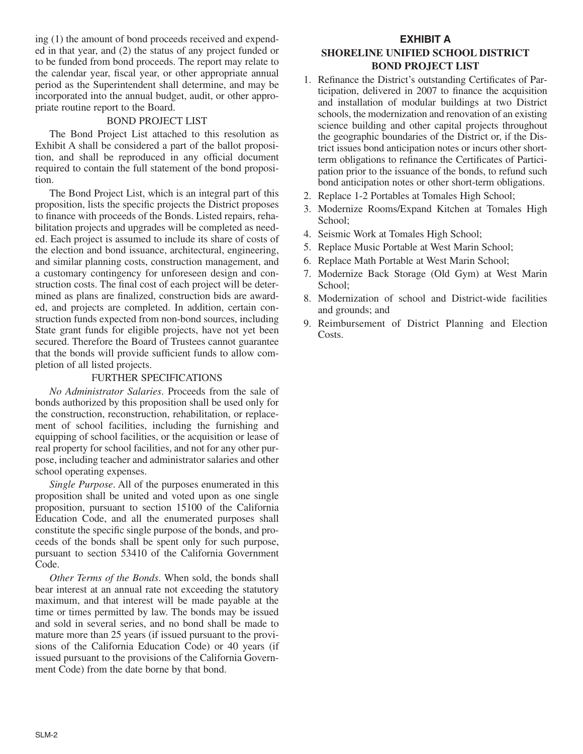ing (1) the amount of bond proceeds received and expended in that year, and (2) the status of any project funded or to be funded from bond proceeds. The report may relate to the calendar year, fiscal year, or other appropriate annual period as the Superintendent shall determine, and may be incorporated into the annual budget, audit, or other appropriate routine report to the Board.

#### BOND PROJECT LIST

The Bond Project List attached to this resolution as Exhibit A shall be considered a part of the ballot proposition, and shall be reproduced in any official document required to contain the full statement of the bond proposition.

The Bond Project List, which is an integral part of this proposition, lists the specific projects the District proposes to finance with proceeds of the Bonds. Listed repairs, rehabilitation projects and upgrades will be completed as needed. Each project is assumed to include its share of costs of the election and bond issuance, architectural, engineering, and similar planning costs, construction management, and a customary contingency for unforeseen design and construction costs. The final cost of each project will be determined as plans are finalized, construction bids are awarded, and projects are completed. In addition, certain construction funds expected from non-bond sources, including State grant funds for eligible projects, have not yet been secured. Therefore the Board of Trustees cannot guarantee that the bonds will provide sufficient funds to allow completion of all listed projects.

#### FURTHER SPECIFICATIONS

*No Administrator Salaries*. Proceeds from the sale of bonds authorized by this proposition shall be used only for the construction, reconstruction, rehabilitation, or replacement of school facilities, including the furnishing and equipping of school facilities, or the acquisition or lease of real property for school facilities, and not for any other purpose, including teacher and administrator salaries and other school operating expenses.

*Single Purpose*. All of the purposes enumerated in this proposition shall be united and voted upon as one single proposition, pursuant to section 15100 of the California Education Code, and all the enumerated purposes shall constitute the specific single purpose of the bonds, and proceeds of the bonds shall be spent only for such purpose, pursuant to section 53410 of the California Government Code.

*Other Terms of the Bonds*. When sold, the bonds shall bear interest at an annual rate not exceeding the statutory maximum, and that interest will be made payable at the time or times permitted by law. The bonds may be issued and sold in several series, and no bond shall be made to mature more than 25 years (if issued pursuant to the provisions of the California Education Code) or 40 years (if issued pursuant to the provisions of the California Government Code) from the date borne by that bond.

## **EXHIBIT A SHORELINE UNIFIED SCHOOL DISTRICT BOND PROJECT LIST**

- 1. Refinance the District's outstanding Certificates of Participation, delivered in 2007 to finance the acquisition and installation of modular buildings at two District schools, the modernization and renovation of an existing science building and other capital projects throughout the geographic boundaries of the District or, if the District issues bond anticipation notes or incurs other shortterm obligations to refinance the Certificates of Participation prior to the issuance of the bonds, to refund such bond anticipation notes or other short-term obligations.
- 2. Replace 1-2 Portables at Tomales High School;
- 3. Modernize Rooms/Expand Kitchen at Tomales High School;
- 4. Seismic Work at Tomales High School;
- 5. Replace Music Portable at West Marin School;
- 6. Replace Math Portable at West Marin School;
- 7. Modernize Back Storage (Old Gym) at West Marin School:
- 8. Modernization of school and District-wide facilities and grounds; and
- 9. Reimbursement of District Planning and Election Costs.